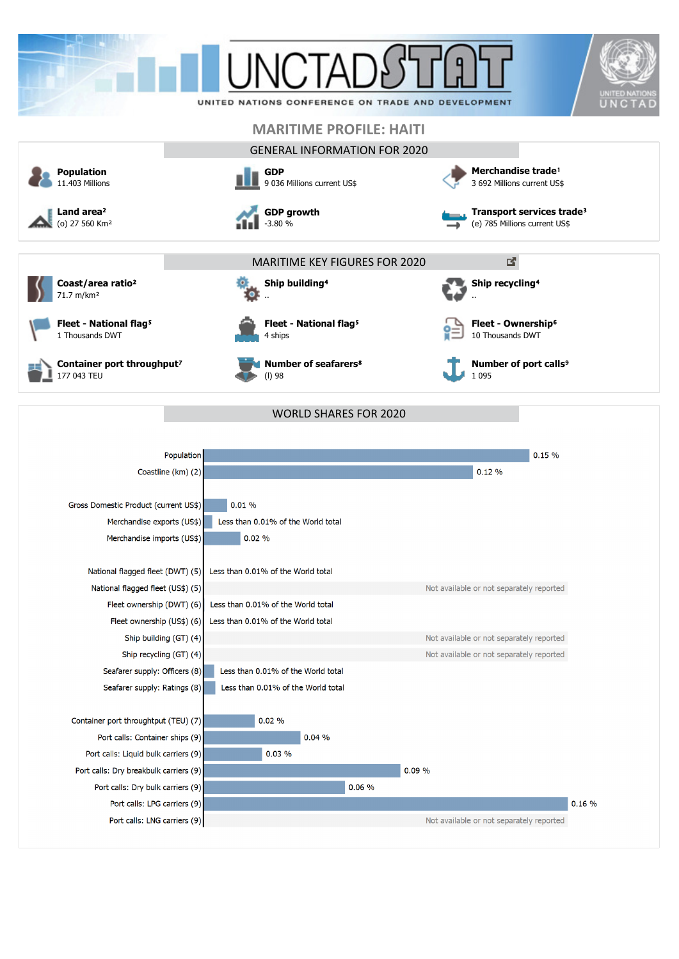

Container port throughtput (TEU) (7)

Port calls: Container ships (9)

Port calls: Liquid bulk carriers (9)

Port calls: Dry bulk carriers (9)

Port calls: LPG carriers (9)

Port calls: LNG carriers (9)

Port calls: Dry breakbulk carriers (9)

 $0.02%$ 

0.03 %

 $0.04%$ 

 $0.06%$ 

Not available or not separately reported

 $0.16%$ 

 $0.09%$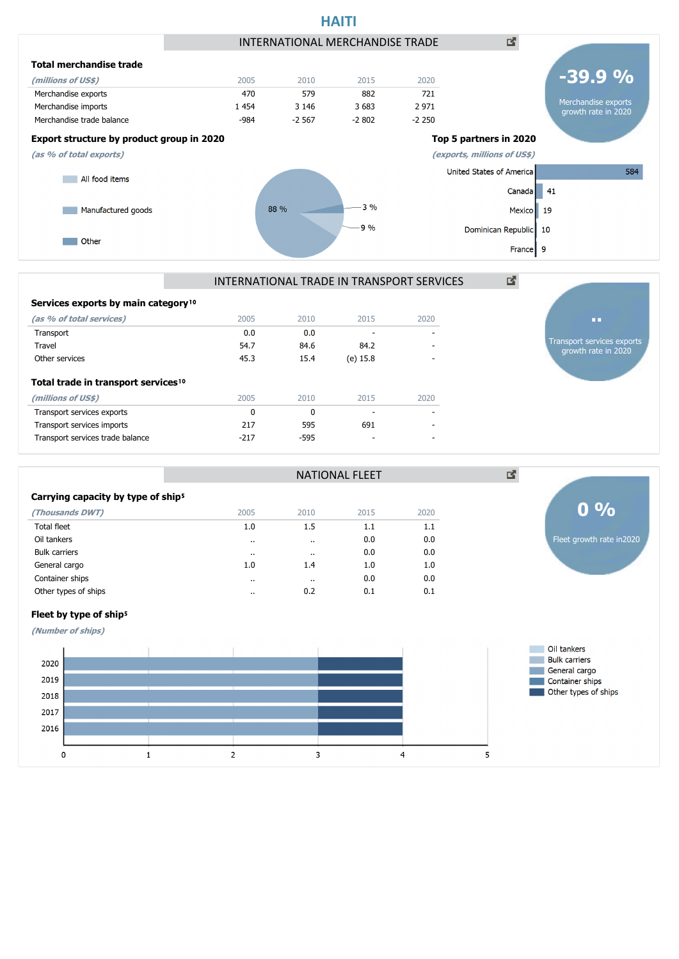

INTERNATIONAL TRADE IN TRANSPORT SERVICES



Transport services exports growth rate in 2020

| 2005         | 2010     | 2015     | 2020 |
|--------------|----------|----------|------|
| 0.0          | 0.0      | ٠        |      |
| 54.7         | 84.6     | 84.2     |      |
| 45.3         | 15.4     | (e) 15.8 |      |
| 2005         | 2010     | 2015     | 2020 |
| $\mathbf{0}$ | $\Omega$ | ۰        |      |
|              |          |          |      |
| 217          | 595      | 691      |      |
|              |          |          |      |

|                                                | <b>NATIONAL FLEET</b> |           |      |      | 國                         |  |
|------------------------------------------------|-----------------------|-----------|------|------|---------------------------|--|
| Carrying capacity by type of ship <sup>5</sup> |                       |           |      |      |                           |  |
| (Thousands DWT)                                | 2005                  | 2010      | 2015 | 2020 | $0\%$                     |  |
| Total fleet                                    | 1.0                   | 1.5       | 1.1  | 1.1  |                           |  |
| Oil tankers                                    | $\cdots$              | $\ddotsc$ | 0.0  | 0.0  | Fleet growth rate in 2020 |  |
| <b>Bulk carriers</b>                           | $\cdots$              |           | 0.0  | 0.0  |                           |  |
| General cargo                                  | 1.0                   | 1.4       | 1.0  | 1.0  |                           |  |
| Container ships                                |                       | $\cdot$   | 0.0  | 0.0  |                           |  |
| Other types of ships                           |                       | 0.2       | 0.1  | 0.1  |                           |  |
| Fleet by type of ship <sup>5</sup>             |                       |           |      |      |                           |  |
| (Number of ships)                              |                       |           |      |      |                           |  |

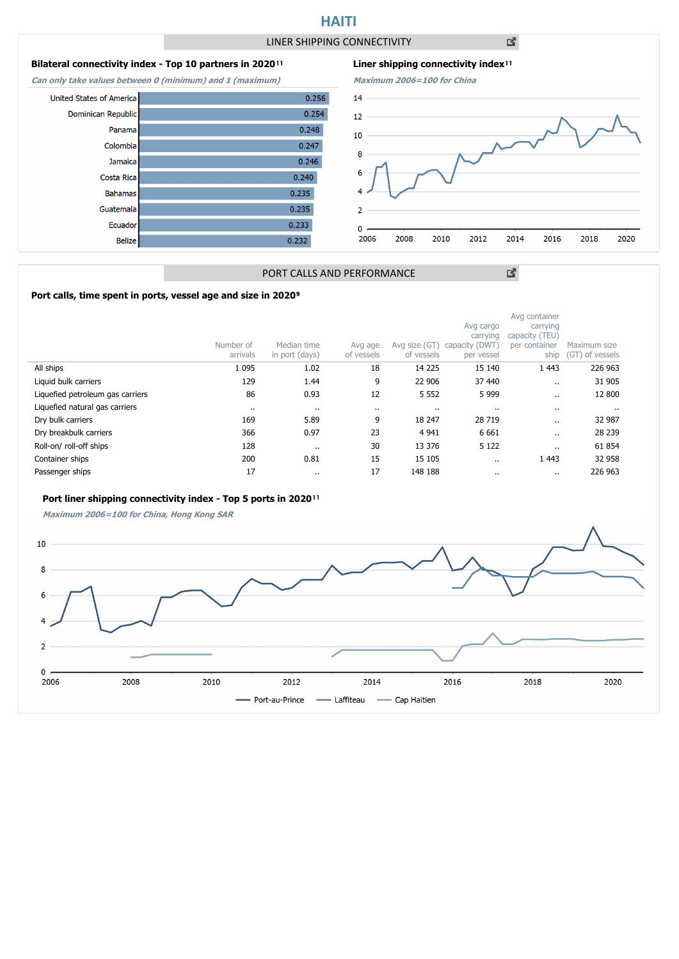# **HAITI**

LINER SHIPPING CONNECTIVITY

 $0.256$ 

 $0.254$ 

 $0.248$ 

 $0.247$ 

 $0.246$ 

### **Bilateral connectivity index - Top 10 partners in 2020**<sup>11</sup>

**Can only take values between 0 (minimum) and 1 (maximum)**

United States of America

Dominican Republic

Panama

Colombia

Jamaica

#### Liner shipping connectivity index<sup>11</sup>

**Maximum 2006=100 for China**  $14$  $12$  $10$ 8 6  $\overline{a}$  $\overline{2}$  $\pmb{0}$ 2006 2008 2010 2012 2014 2016 2018 2020

図

#### Costa Rica  $0.240$ Bahamas  $0.235$ Guatemala  $0.235$ Ecuador  $0.233$ **Belize**  $0.232$

# PORT CALLS AND PERFORMANCE

## Port calls, time spent in ports, vessel age and size in 2020<sup>9</sup>

|                                  | Number of<br>arrivals | Median time<br>in port (days) | Avg age<br>of vessels | Avg size (GT)<br>of vessels | Avg cargo<br>carrying<br>capacity (DWT)<br>per vessel | Avg container<br>carrying<br>capacity (TEU)<br>per container<br>ship | Maximum size<br>(GT) of vessels |
|----------------------------------|-----------------------|-------------------------------|-----------------------|-----------------------------|-------------------------------------------------------|----------------------------------------------------------------------|---------------------------------|
| All ships                        | 1 0 9 5               | 1.02                          | 18                    | 14 2 25                     | 15 140                                                | 1 4 4 3                                                              | 226 963                         |
| Liquid bulk carriers             | 129                   | 1.44                          | 9                     | 22 906                      | 37 440                                                | $\cdot$                                                              | 31 905                          |
| Liquefied petroleum gas carriers | 86                    | 0.93                          | 12                    | 5 5 5 2                     | 5 9 9 9                                               | $\cdot$                                                              | 12 800                          |
| Liquefied natural gas carriers   | $\cdots$              | $\cdots$                      |                       | $\cdots$                    | $\cdots$                                              |                                                                      |                                 |
| Dry bulk carriers                | 169                   | 5.89                          | 9                     | 18 247                      | 28 719                                                | $\cdots$                                                             | 32 987                          |
| Dry breakbulk carriers           | 366                   | 0.97                          | 23                    | 4 9 4 1                     | 6 6 6 1                                               | $\cdot$                                                              | 28 239                          |
| Roll-on/roll-off ships           | 128                   | $\cdots$                      | 30                    | 13 376                      | 5 1 2 2                                               | $\cdot$ .                                                            | 61 854                          |
| Container ships                  | 200                   | 0.81                          | 15                    | 15 105                      | $\ddot{\phantom{a}}$                                  | 1 4 4 3                                                              | 32 958                          |
| Passenger ships                  | 17                    | $\cdot$                       | 17                    | 148 188                     | $\cdots$                                              |                                                                      | 226 963                         |

#### Port liner shipping connectivity index - Top 5 ports in 2020<sup>11</sup>

**Maximum 2006=100 for China, Hong Kong SAR**





凶